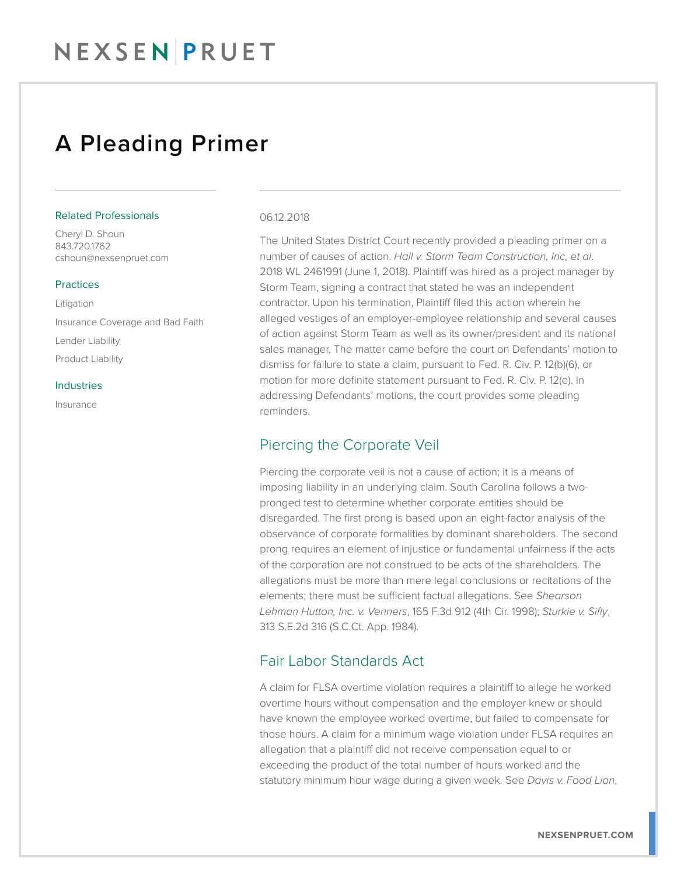## NEXSENPRUET

## A Pleading Primer

#### Related Professionals

Cheryl D. Shoun 843.720.1762 cshoun@nexsenpruet.com

### **Practices**

Litigation Insurance Coverage and Bad Faith Lender Liability Product Liability

#### Industries

Insurance

#### 06.12.2018

The United States District Court recently provided a pleading primer on a number of causes of action. *Hall v. Storm Team Construction, Inc, et al*. 2018 WL 2461991 (June 1, 2018). Plaintiff was hired as a project manager by Storm Team, signing a contract that stated he was an independent contractor. Upon his termination, Plaintiff filed this action wherein he alleged vestiges of an employer-employee relationship and several causes of action against Storm Team as well as its owner/president and its national sales manager. The matter came before the court on Defendants' motion to dismiss for failure to state a claim, pursuant to Fed. R. Civ. P. 12(b)(6), or motion for more definite statement pursuant to Fed. R. Civ. P. 12(e). In addressing Defendants' motions, the court provides some pleading reminders.

### Piercing the Corporate Veil

Piercing the corporate veil is not a cause of action; it is a means of imposing liability in an underlying claim. South Carolina follows a twopronged test to determine whether corporate entities should be disregarded. The first prong is based upon an eight-factor analysis of the observance of corporate formalities by dominant shareholders. The second prong requires an element of injustice or fundamental unfairness if the acts of the corporation are not construed to be acts of the shareholders. The allegations must be more than mere legal conclusions or recitations of the elements; there must be sufficient factual allegations. See *Shearson Lehman Hutton, Inc. v. Venners*, 165 F.3d 912 (4th Cir. 1998); *Sturkie v. Sifly*, 313 S.E.2d 316 (S.C.Ct. App. 1984).

### Fair Labor Standards Act

A claim for FLSA overtime violation requires a plaintiff to allege he worked overtime hours without compensation and the employer knew or should have known the employee worked overtime, but failed to compensate for those hours. A claim for a minimum wage violation under FLSA requires an allegation that a plaintiff did not receive compensation equal to or exceeding the product of the total number of hours worked and the statutory minimum hour wage during a given week. See *Davis v. Food Lion*,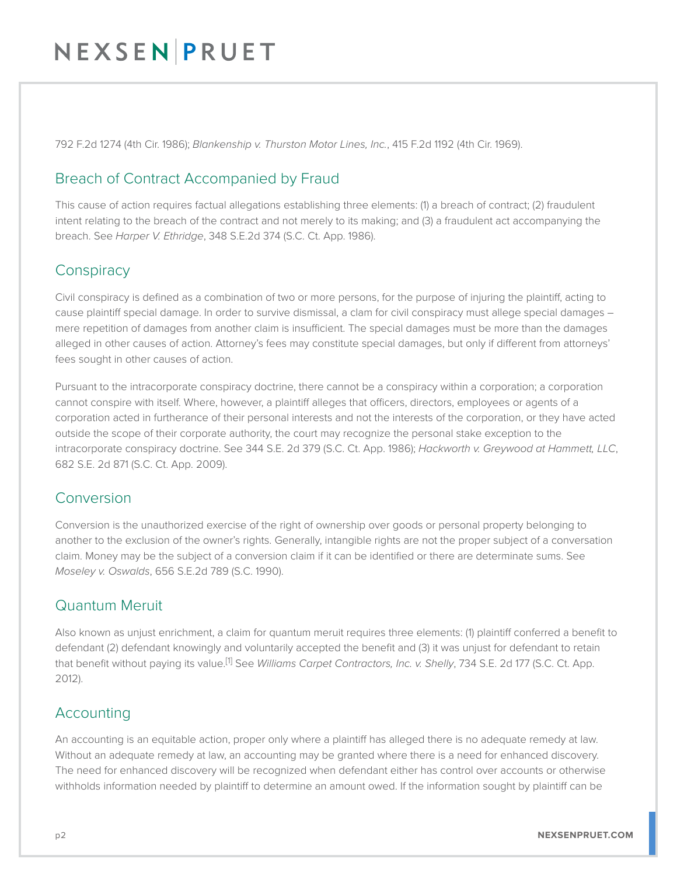# NEXSENPRUET

792 F.2d 1274 (4th Cir. 1986); *Blankenship v. Thurston Motor Lines, Inc.*, 415 F.2d 1192 (4th Cir. 1969).

## Breach of Contract Accompanied by Fraud

This cause of action requires factual allegations establishing three elements: (1) a breach of contract; (2) fraudulent intent relating to the breach of the contract and not merely to its making; and (3) a fraudulent act accompanying the breach. See *Harper V. Ethridge*, 348 S.E.2d 374 (S.C. Ct. App. 1986).

### **Conspiracy**

Civil conspiracy is defined as a combination of two or more persons, for the purpose of injuring the plaintiff, acting to cause plaintiff special damage. In order to survive dismissal, a clam for civil conspiracy must allege special damages – mere repetition of damages from another claim is insufficient. The special damages must be more than the damages alleged in other causes of action. Attorney's fees may constitute special damages, but only if different from attorneys' fees sought in other causes of action.

Pursuant to the intracorporate conspiracy doctrine, there cannot be a conspiracy within a corporation; a corporation cannot conspire with itself. Where, however, a plaintiff alleges that officers, directors, employees or agents of a corporation acted in furtherance of their personal interests and not the interests of the corporation, or they have acted outside the scope of their corporate authority, the court may recognize the personal stake exception to the intracorporate conspiracy doctrine. See 344 S.E. 2d 379 (S.C. Ct. App. 1986); *Hackworth v. Greywood at Hammett, LLC*, 682 S.E. 2d 871 (S.C. Ct. App. 2009).

### Conversion

Conversion is the unauthorized exercise of the right of ownership over goods or personal property belonging to another to the exclusion of the owner's rights. Generally, intangible rights are not the proper subject of a conversation claim. Money may be the subject of a conversion claim if it can be identified or there are determinate sums. See *Moseley v. Oswalds*, 656 S.E.2d 789 (S.C. 1990).

### Quantum Meruit

Also known as unjust enrichment, a claim for quantum meruit requires three elements: (1) plaintiff conferred a benefit to defendant (2) defendant knowingly and voluntarily accepted the benefit and (3) it was unjust for defendant to retain that benefit without paying its value.[1] See *Williams Carpet Contractors, Inc. v. Shelly*, 734 S.E. 2d 177 (S.C. Ct. App. 2012).

### Accounting

An accounting is an equitable action, proper only where a plaintiff has alleged there is no adequate remedy at law. Without an adequate remedy at law, an accounting may be granted where there is a need for enhanced discovery. The need for enhanced discovery will be recognized when defendant either has control over accounts or otherwise withholds information needed by plaintiff to determine an amount owed. If the information sought by plaintiff can be